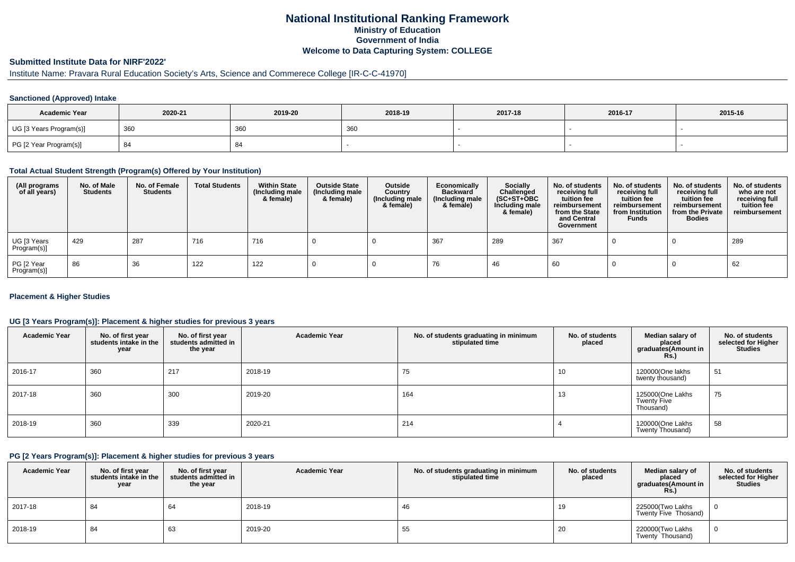### **National Institutional Ranking FrameworkMinistry of Education Government of IndiaWelcome to Data Capturing System: COLLEGE**

# **Submitted Institute Data for NIRF'2022'**

# Institute Name: Pravara Rural Education Society's Arts, Science and Commerece College [IR-C-C-41970]

#### **Sanctioned (Approved) Intake**

| <b>Academic Year</b>    | 2020-21 | 2019-20 | 2018-19 | 2017-18 | 2016-17 | 2015-16 |
|-------------------------|---------|---------|---------|---------|---------|---------|
| UG [3 Years Program(s)] | 360     | 360     | 360     |         |         |         |
| PG [2 Year Program(s)]  | -84     |         |         |         |         |         |

#### **Total Actual Student Strength (Program(s) Offered by Your Institution)**

| (All programs<br>of all years) | No. of Male<br><b>Students</b> | No. of Female<br>Students | <b>Total Students</b> | <b>Within State</b><br>(Including male<br>& female) | <b>Outside State</b><br>(Including male<br>& female) | Outside<br>Country<br>(Including male<br>& female) | Economically<br><b>Backward</b><br>(Including male<br>& female) | <b>Socially</b><br>Challenged<br>$(SC+ST+OBC)$<br>Including male<br>& female) | No. of students<br>receiving full<br>tuition fee<br>reimbursement<br>from the State<br>and Central<br>Government | No. of students<br>receiving full<br>tuition fee<br>reimbursement<br>from Institution<br><b>Funds</b> | No. of students<br>receiving full<br>tuition fee<br>reimbursement<br>from the Private<br><b>Bodies</b> | No. of students<br>who are not<br>receiving full<br>tuition fee<br>reimbursement |
|--------------------------------|--------------------------------|---------------------------|-----------------------|-----------------------------------------------------|------------------------------------------------------|----------------------------------------------------|-----------------------------------------------------------------|-------------------------------------------------------------------------------|------------------------------------------------------------------------------------------------------------------|-------------------------------------------------------------------------------------------------------|--------------------------------------------------------------------------------------------------------|----------------------------------------------------------------------------------|
| UG [3 Years<br>Program(s)]     | 429                            | 287                       | 716                   | 716                                                 |                                                      |                                                    | 367                                                             | 289                                                                           | 367                                                                                                              |                                                                                                       |                                                                                                        | 289                                                                              |
| PG [2 Year<br>Program(s)]      | 86                             | 36                        | 122                   | 122                                                 |                                                      |                                                    | 76                                                              | 46                                                                            | 60                                                                                                               |                                                                                                       |                                                                                                        | 62                                                                               |

#### **Placement & Higher Studies**

#### **UG [3 Years Program(s)]: Placement & higher studies for previous 3 years**

| <b>Academic Year</b> | No. of first year<br>students intake in the<br>year | No. of first year<br>students admitted in<br>the year | <b>Academic Year</b> | No. of students graduating in minimum<br>stipulated time | No. of students<br>placed | Median salary of<br>placed<br>graduates(Amount in<br>Rs. | No. of students<br>selected for Higher<br><b>Studies</b> |
|----------------------|-----------------------------------------------------|-------------------------------------------------------|----------------------|----------------------------------------------------------|---------------------------|----------------------------------------------------------|----------------------------------------------------------|
| 2016-17              | 360                                                 | 217                                                   | 2018-19              | 75                                                       | 10                        | 120000(One lakhs<br>twenty thousand)                     | 51                                                       |
| 2017-18              | 360                                                 | 300                                                   | 2019-20              | 164                                                      | 13                        | 125000(One Lakhs<br><b>Twenty Five</b><br>Thousand)      | 75                                                       |
| 2018-19              | 360                                                 | 339                                                   | 2020-21              | 214                                                      |                           | 120000(One Lakhs<br>Twenty Thousand)                     | 58                                                       |

#### **PG [2 Years Program(s)]: Placement & higher studies for previous 3 years**

| <b>Academic Year</b> | No. of first year<br>students intake in the<br>year | No. of first year<br>students admitted in<br>the year | <b>Academic Year</b> | No. of students graduating in minimum<br>stipulated time | No. of students<br>placed | Median salary of<br>placed<br>graduates(Amount in<br><b>Rs.</b> ) | No. of students<br>selected for Higher<br>Studies |
|----------------------|-----------------------------------------------------|-------------------------------------------------------|----------------------|----------------------------------------------------------|---------------------------|-------------------------------------------------------------------|---------------------------------------------------|
| 2017-18              | -84                                                 | 64                                                    | 2018-19              | 46                                                       | 19                        | 225000(Two Lakhs<br>Twenty Five Thosand)                          |                                                   |
| 2018-19              | 84                                                  | 63                                                    | 2019-20              | 55                                                       | 20                        | 220000(Two Lakhs<br>Twenty Thousand)                              |                                                   |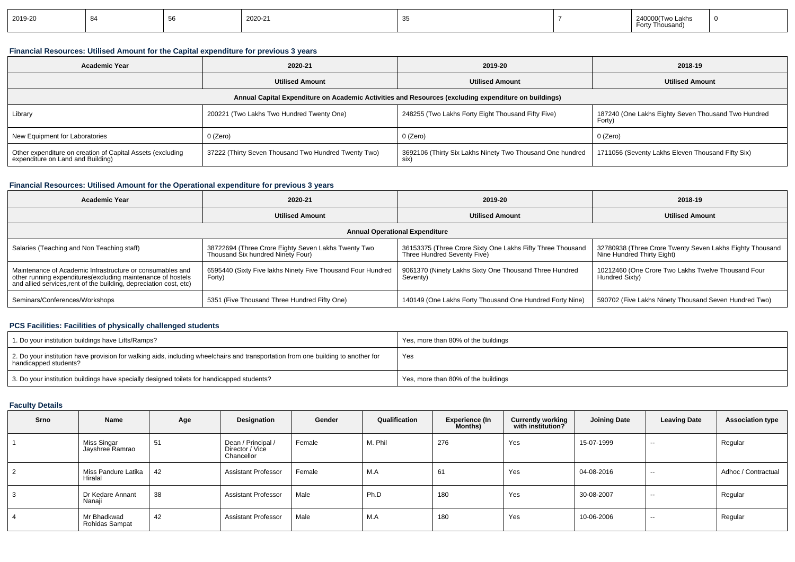| 2019-20 |  |  | ነበ2በ-21 |  |  | Two Lakhs<br>ousano. | - 0 |
|---------|--|--|---------|--|--|----------------------|-----|
|---------|--|--|---------|--|--|----------------------|-----|

### **Financial Resources: Utilised Amount for the Capital expenditure for previous 3 years**

| <b>Academic Year</b>                                                                                 | 2020-21                                              | 2019-20                                                           | 2018-19                                                       |  |  |  |  |  |  |  |
|------------------------------------------------------------------------------------------------------|------------------------------------------------------|-------------------------------------------------------------------|---------------------------------------------------------------|--|--|--|--|--|--|--|
|                                                                                                      | <b>Utilised Amount</b>                               |                                                                   | <b>Utilised Amount</b>                                        |  |  |  |  |  |  |  |
| Annual Capital Expenditure on Academic Activities and Resources (excluding expenditure on buildings) |                                                      |                                                                   |                                                               |  |  |  |  |  |  |  |
| Library                                                                                              | 200221 (Two Lakhs Two Hundred Twenty One)            | 248255 (Two Lakhs Forty Eight Thousand Fifty Five)                | 187240 (One Lakhs Eighty Seven Thousand Two Hundred<br>Forty) |  |  |  |  |  |  |  |
| New Equipment for Laboratories                                                                       | 0 (Zero)                                             | 0 (Zero)                                                          | 0 (Zero)                                                      |  |  |  |  |  |  |  |
| Other expenditure on creation of Capital Assets (excluding<br>expenditure on Land and Building)      | 37222 (Thirty Seven Thousand Two Hundred Twenty Two) | 3692106 (Thirty Six Lakhs Ninety Two Thousand One hundred<br>six) | 1711056 (Seventy Lakhs Eleven Thousand Fifty Six)             |  |  |  |  |  |  |  |

### **Financial Resources: Utilised Amount for the Operational expenditure for previous 3 years**

| <b>Academic Year</b>                                                                                                                                                                            | 2020-21                                                                                  | 2019-20                                                                                   | 2018-19                                                                                |  |  |  |  |  |  |
|-------------------------------------------------------------------------------------------------------------------------------------------------------------------------------------------------|------------------------------------------------------------------------------------------|-------------------------------------------------------------------------------------------|----------------------------------------------------------------------------------------|--|--|--|--|--|--|
|                                                                                                                                                                                                 | <b>Utilised Amount</b>                                                                   | <b>Utilised Amount</b>                                                                    | <b>Utilised Amount</b>                                                                 |  |  |  |  |  |  |
| <b>Annual Operational Expenditure</b>                                                                                                                                                           |                                                                                          |                                                                                           |                                                                                        |  |  |  |  |  |  |
| Salaries (Teaching and Non Teaching staff)                                                                                                                                                      | 38722694 (Three Crore Eighty Seven Lakhs Twenty Two<br>Thousand Six hundred Ninety Four) | 36153375 (Three Crore Sixty One Lakhs Fifty Three Thousand<br>Three Hundred Seventy Five) | 32780938 (Three Crore Twenty Seven Lakhs Eighty Thousand<br>Nine Hundred Thirty Eight) |  |  |  |  |  |  |
| Maintenance of Academic Infrastructure or consumables and<br>other running expenditures (excluding maintenance of hostels<br>and allied services, rent of the building, depreciation cost, etc) | 6595440 (Sixty Five lakhs Ninety Five Thousand Four Hundred<br>Forty)                    | 9061370 (Ninety Lakhs Sixty One Thousand Three Hundred<br>Seventy)                        | 10212460 (One Crore Two Lakhs Twelve Thousand Four<br>Hundred Sixty)                   |  |  |  |  |  |  |
| Seminars/Conferences/Workshops                                                                                                                                                                  | 5351 (Five Thousand Three Hundred Fifty One)                                             | 140149 (One Lakhs Forty Thousand One Hundred Forty Nine)                                  | 590702 (Five Lakhs Ninety Thousand Seven Hundred Two)                                  |  |  |  |  |  |  |

### **PCS Facilities: Facilities of physically challenged students**

| 1. Do your institution buildings have Lifts/Ramps?                                                                                                         | Yes, more than 80% of the buildings |
|------------------------------------------------------------------------------------------------------------------------------------------------------------|-------------------------------------|
| 2. Do your institution have provision for walking aids, including wheelchairs and transportation from one building to another for<br>handicapped students? | Yes                                 |
| 3. Do your institution buildings have specially designed toilets for handicapped students?                                                                 | Yes, more than 80% of the buildings |

#### **Faculty Details**

| Srno | Name                           | Age | Designation                                         | Gender | Qualification | Experience (In<br>Months) | <b>Currently working</b><br>with institution? | <b>Joining Date</b> | <b>Leaving Date</b> | <b>Association type</b> |
|------|--------------------------------|-----|-----------------------------------------------------|--------|---------------|---------------------------|-----------------------------------------------|---------------------|---------------------|-------------------------|
|      | Miss Singar<br>Jayshree Ramrao | 51  | Dean / Principal /<br>Director / Vice<br>Chancellor | Female | M. Phil       | 276                       | Yes                                           | 15-07-1999          | $- -$               | Regular                 |
| 2    | Miss Pandure Latika<br>Hiralal | 42  | <b>Assistant Professor</b>                          | Female | M.A           | 61                        | Yes                                           | 04-08-2016          | $\sim$              | Adhoc / Contractual     |
| 3    | Dr Kedare Annant<br>Nanaji     | 38  | <b>Assistant Professor</b>                          | Male   | Ph.D          | 180                       | Yes                                           | 30-08-2007          | $\sim$              | Regular                 |
| 4    | Mr Bhadkwad<br>Rohidas Sampat  | 42  | <b>Assistant Professor</b>                          | Male   | M.A           | 180                       | Yes                                           | 10-06-2006          | $\sim$              | Regular                 |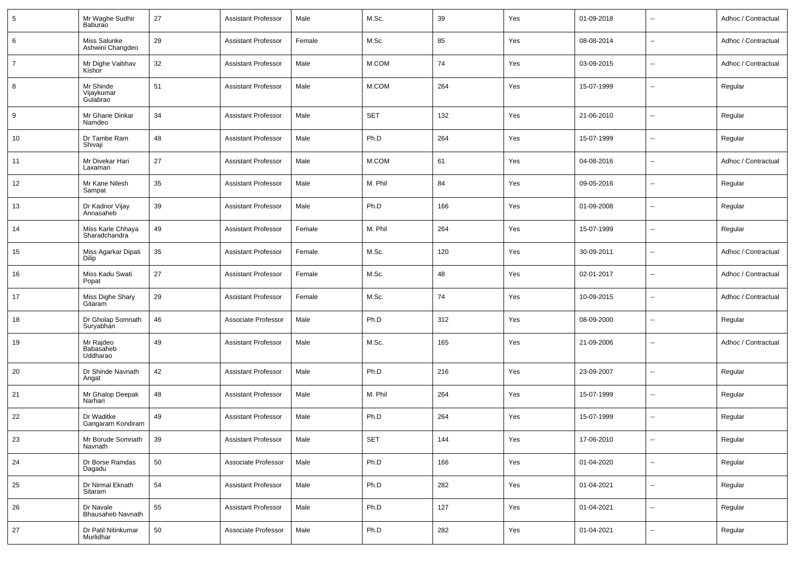| 5  | Mr Waghe Sudhir<br>Baburao            | 27 | <b>Assistant Professor</b> | Male   | M.Sc.      | 39  | Yes | 01-09-2018 | $\overline{\phantom{a}}$ | Adhoc / Contractual |
|----|---------------------------------------|----|----------------------------|--------|------------|-----|-----|------------|--------------------------|---------------------|
| 6  | Miss Salunke<br>Ashwini Changdeo      | 29 | <b>Assistant Professor</b> | Female | M.Sc.      | 85  | Yes | 08-08-2014 | $\overline{\phantom{a}}$ | Adhoc / Contractual |
| 7  | Mr Dighe Vaibhav<br>Kishor            | 32 | <b>Assistant Professor</b> | Male   | M.COM      | 74  | Yes | 03-09-2015 | $\overline{\phantom{a}}$ | Adhoc / Contractual |
| 8  | Mr Shinde<br>Vijaykumar<br>Gulabrao   | 51 | <b>Assistant Professor</b> | Male   | M.COM      | 264 | Yes | 15-07-1999 | $\overline{\phantom{a}}$ | Regular             |
| 9  | Mr Ghane Dinkar<br>Namdeo             | 34 | <b>Assistant Professor</b> | Male   | <b>SET</b> | 132 | Yes | 21-06-2010 | $\overline{\phantom{a}}$ | Regular             |
| 10 | Dr Tambe Ram<br>Shivaji               | 48 | <b>Assistant Professor</b> | Male   | Ph.D       | 264 | Yes | 15-07-1999 | $\overline{\phantom{a}}$ | Regular             |
| 11 | Mr Divekar Hari<br>Laxaman            | 27 | <b>Assistant Professor</b> | Male   | M.COM      | 61  | Yes | 04-08-2016 | $\overline{\phantom{a}}$ | Adhoc / Contractual |
| 12 | Mr Kane Nilesh<br>Sampat              | 35 | <b>Assistant Professor</b> | Male   | M. Phil    | 84  | Yes | 09-05-2016 | $\overline{\phantom{a}}$ | Regular             |
| 13 | Dr Kadnor Vijay<br>Annasaheb          | 39 | <b>Assistant Professor</b> | Male   | Ph.D       | 166 | Yes | 01-09-2008 | $\overline{\phantom{a}}$ | Regular             |
| 14 | Miss Karle Chhaya<br>Sharadchandra    | 49 | <b>Assistant Professor</b> | Female | M. Phil    | 264 | Yes | 15-07-1999 | $\overline{\phantom{a}}$ | Regular             |
| 15 | Miss Agarkar Dipati<br>Dilip          | 35 | <b>Assistant Professor</b> | Female | M.Sc.      | 120 | Yes | 30-09-2011 | $\overline{\phantom{a}}$ | Adhoc / Contractual |
| 16 | Miss Kadu Swati<br>Popat              | 27 | <b>Assistant Professor</b> | Female | M.Sc.      | 48  | Yes | 02-01-2017 | $\overline{\phantom{a}}$ | Adhoc / Contractual |
| 17 | Miss Dighe Shary<br>Gitaram           | 29 | <b>Assistant Professor</b> | Female | M.Sc.      | 74  | Yes | 10-09-2015 | $\overline{\phantom{a}}$ | Adhoc / Contractual |
| 18 | Dr Gholap Somnath<br>Suryabhan        | 46 | Associate Professor        | Male   | Ph.D       | 312 | Yes | 08-09-2000 | $\overline{\phantom{a}}$ | Regular             |
| 19 | Mr Rajdeo<br>Babasaheb<br>Uddharao    | 49 | <b>Assistant Professor</b> | Male   | M.Sc.      | 165 | Yes | 21-09-2006 | $\overline{\phantom{a}}$ | Adhoc / Contractual |
| 20 | Dr Shinde Navnath<br>Angat            | 42 | <b>Assistant Professor</b> | Male   | Ph.D       | 216 | Yes | 23-09-2007 | $\overline{\phantom{a}}$ | Regular             |
| 21 | Mr Ghalop Deepak<br>Narhari           | 48 | <b>Assistant Professor</b> | Male   | M. Phil    | 264 | Yes | 15-07-1999 | ÷.                       | Regular             |
| 22 | Dr Waditke<br>Gangaram Kondiram       | 49 | <b>Assistant Professor</b> | Male   | Ph.D       | 264 | Yes | 15-07-1999 | ÷.                       | Regular             |
| 23 | Mr Borude Somnath<br>Navnath          | 39 | <b>Assistant Professor</b> | Male   | SET        | 144 | Yes | 17-06-2010 | $\overline{\phantom{a}}$ | Regular             |
| 24 | Dr Borse Ramdas<br>Dagadu             | 50 | Associate Professor        | Male   | Ph.D       | 166 | Yes | 01-04-2020 | $\overline{\phantom{a}}$ | Regular             |
| 25 | Dr Nirmal Eknath<br>Sitaram           | 54 | <b>Assistant Professor</b> | Male   | Ph.D       | 282 | Yes | 01-04-2021 | $\overline{\phantom{a}}$ | Regular             |
| 26 | Dr Navale<br><b>Bhausaheb Navnath</b> | 55 | <b>Assistant Professor</b> | Male   | Ph.D       | 127 | Yes | 01-04-2021 | $\overline{\phantom{a}}$ | Regular             |
| 27 | Dr Patil Nitinkumar<br>Murlidhar      | 50 | Associate Professor        | Male   | Ph.D       | 282 | Yes | 01-04-2021 | $\overline{\phantom{a}}$ | Regular             |